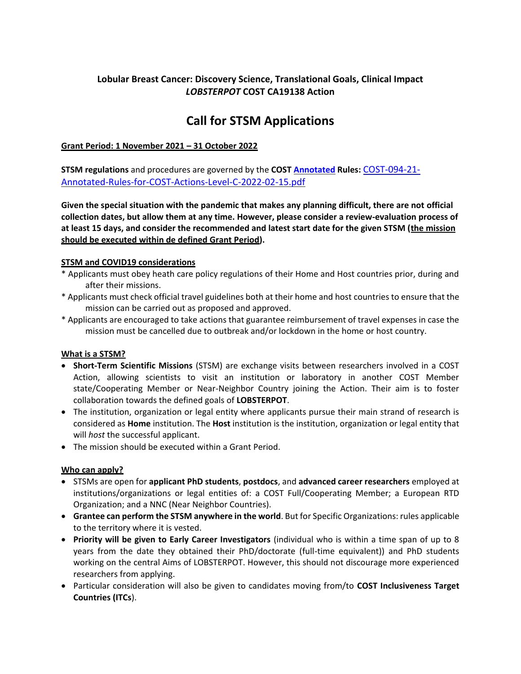## **Lobular Breast Cancer: Discovery Science, Translational Goals, Clinical Impact** *LOBSTERPOT* **COST CA19138 Action**

# **Call for STSM Applications**

### **Grant Period: 1 November 2021 – 31 October 2022**

**STSM regulations** and procedures are governed by the **COST [Annotated](file://///DS.UMCUTRECHT.NL/GROUPS/RVB/Onderzoek/002%20Research%20Support%20Office/011%20RSO%20Post-award/COST_LOBSTERPOT/STSM/Annotated) Rules:** [COST-094-21-](https://www.cost.eu/uploads/2022/02/COST-094-21-Annotated-Rules-for-COST-Actions-Level-C-2022-02-15.pdf) [Annotated-Rules-for-COST-Actions-Level-C-2022-02-15.pdf](https://www.cost.eu/uploads/2022/02/COST-094-21-Annotated-Rules-for-COST-Actions-Level-C-2022-02-15.pdf)

**Given the special situation with the pandemic that makes any planning difficult, there are not official collection dates, but allow them at any time. However, please consider a review-evaluation process of at least 15 days, and consider the recommended and latest start date for the given STSM (the mission should be executed within de defined Grant Period).**

#### **STSM and COVID19 considerations**

- \* Applicants must obey heath care policy regulations of their Home and Host countries prior, during and after their missions.
- \* Applicants must check official travel guidelines both at their home and host countries to ensure that the mission can be carried out as proposed and approved.
- \* Applicants are encouraged to take actions that guarantee reimbursement of travel expenses in case the mission must be cancelled due to outbreak and/or lockdown in the home or host country.

#### **What is a STSM?**

- **Short-Term Scientific Missions** (STSM) are exchange visits between researchers involved in a COST Action, allowing scientists to visit an institution or laboratory in another COST Member state/Cooperating Member or Near-Neighbor Country joining the Action. Their aim is to foster collaboration towards the defined goals of **LOBSTERPOT**.
- The institution, organization or legal entity where applicants pursue their main strand of research is considered as **Home** institution. The **Host** institution is the institution, organization or legal entity that will *host* the successful applicant.
- The mission should be executed within a Grant Period.

#### **Who can apply?**

- STSMs are open for **applicant PhD students**, **postdocs**, and **advanced career researchers** employed at institutions/organizations or legal entities of: a COST Full/Cooperating Member; a European RTD Organization; and a NNC (Near Neighbor Countries).
- **Grantee can perform the STSM anywhere in the world**. But for Specific Organizations: rules applicable to the territory where it is vested.
- **Priority will be given to Early Career Investigators** (individual who is within a time span of up to 8 years from the date they obtained their PhD/doctorate (full-time equivalent)) and PhD students working on the central Aims of LOBSTERPOT. However, this should not discourage more experienced researchers from applying.
- Particular consideration will also be given to candidates moving from/to **COST Inclusiveness Target Countries (ITCs**).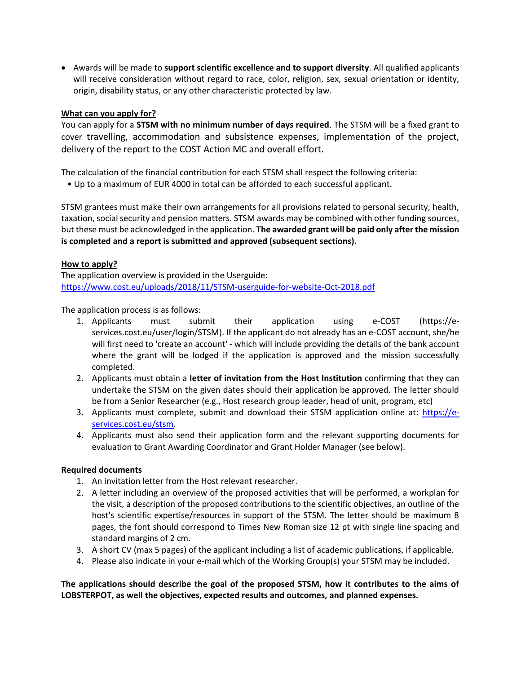• Awards will be made to **support scientific excellence and to support diversity**. All qualified applicants will receive consideration without regard to race, color, religion, sex, sexual orientation or identity, origin, disability status, or any other characteristic protected by law.

#### **What can you apply for?**

You can apply for a **STSM with no minimum number of days required**. The STSM will be a fixed grant to cover travelling, accommodation and subsistence expenses, implementation of the project, delivery of the report to the COST Action MC and overall effort.

The calculation of the financial contribution for each STSM shall respect the following criteria:

• Up to a maximum of EUR 4000 in total can be afforded to each successful applicant.

STSM grantees must make their own arrangements for all provisions related to personal security, health, taxation, social security and pension matters. STSM awards may be combined with other funding sources, but these must be acknowledged in the application. **The awarded grant will be paid only after the mission is completed and a report is submitted and approved (subsequent sections).**

#### **How to apply?**

The application overview is provided in the Userguide: <https://www.cost.eu/uploads/2018/11/STSM-userguide-for-website-Oct-2018.pdf>

The application process is as follows:

- 1. Applicants must submit their application using e-COST (https://eservices.cost.eu/user/login/STSM). If the applicant do not already has an e-COST account, she/he will first need to 'create an account' - which will include providing the details of the bank account where the grant will be lodged if the application is approved and the mission successfully completed.
- 2. Applicants must obtain a **letter of invitation from the Host Institution** confirming that they can undertake the STSM on the given dates should their application be approved. The letter should be from a Senior Researcher (e.g., Host research group leader, head of unit, program, etc)
- 3. Applicants must complete, submit and download their STSM application online at: [https://e](https://e-services.cost.eu/stsm)[services.cost.eu/stsm.](https://e-services.cost.eu/stsm)
- 4. Applicants must also send their application form and the relevant supporting documents for evaluation to Grant Awarding Coordinator and Grant Holder Manager (see below).

#### **Required documents**

- 1. An invitation letter from the Host relevant researcher.
- 2. A letter including an overview of the proposed activities that will be performed, a workplan for the visit, a description of the proposed contributions to the scientific objectives, an outline of the host's scientific expertise/resources in support of the STSM. The letter should be maximum 8 pages, the font should correspond to Times New Roman size 12 pt with single line spacing and standard margins of 2 cm.
- 3. A short CV (max 5 pages) of the applicant including a list of academic publications, if applicable.
- 4. Please also indicate in your e-mail which of the Working Group(s) your STSM may be included.

**The applications should describe the goal of the proposed STSM, how it contributes to the aims of LOBSTERPOT, as well the objectives, expected results and outcomes, and planned expenses.**